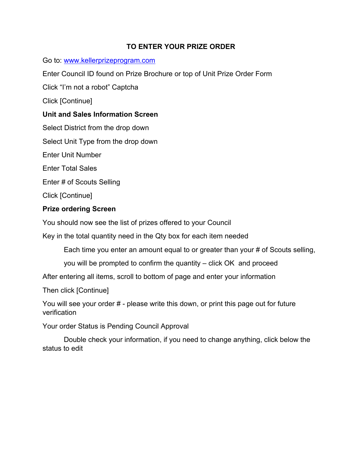### **TO ENTER YOUR PRIZE ORDER**

Go to: www.kellerprizeprogram.com

Enter Council ID found on Prize Brochure or top of Unit Prize Order Form

Click "I'm not a robot" Captcha

Click [Continue]

## **Unit and Sales Information Screen**

Select District from the drop down

Select Unit Type from the drop down

Enter Unit Number

Enter Total Sales

Enter # of Scouts Selling

Click [Continue]

# **Prize ordering Screen**

You should now see the list of prizes offered to your Council

Key in the total quantity need in the Qty box for each item needed

Each time you enter an amount equal to or greater than your # of Scouts selling,

you will be prompted to confirm the quantity – click OK and proceed

After entering all items, scroll to bottom of page and enter your information

Then click [Continue]

You will see your order # - please write this down, or print this page out for future verification

Your order Status is Pending Council Approval

 Double check your information, if you need to change anything, click below the status to edit